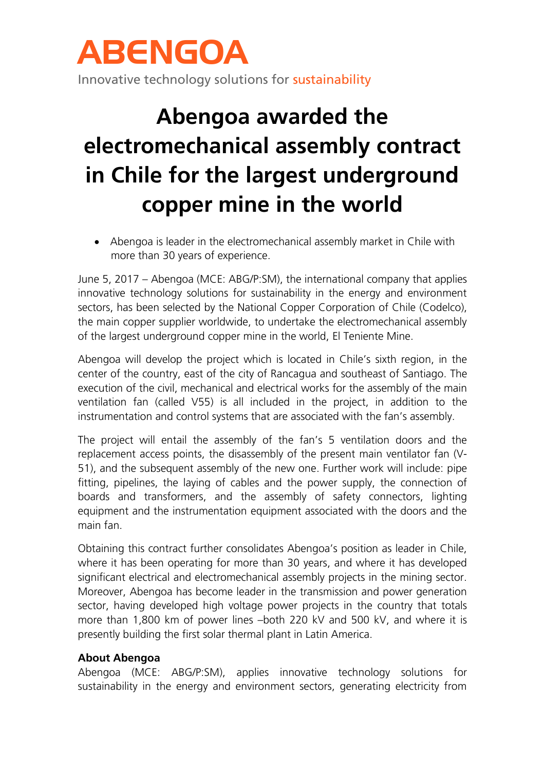## ABENGOA

Innovative technology solutions for sustainability

## **Abengoa awarded the electromechanical assembly contract in Chile for the largest underground copper mine in the world**

 Abengoa is leader in the electromechanical assembly market in Chile with more than 30 years of experience.

June 5, 2017 – Abengoa (MCE: ABG/P:SM), the international company that applies innovative technology solutions for sustainability in the energy and environment sectors, has been selected by the National Copper Corporation of Chile (Codelco), the main copper supplier worldwide, to undertake the electromechanical assembly of the largest underground copper mine in the world, El Teniente Mine.

Abengoa will develop the project which is located in Chile's sixth region, in the center of the country, east of the city of Rancagua and southeast of Santiago. The execution of the civil, mechanical and electrical works for the assembly of the main ventilation fan (called V55) is all included in the project, in addition to the instrumentation and control systems that are associated with the fan's assembly.

The project will entail the assembly of the fan's 5 ventilation doors and the replacement access points, the disassembly of the present main ventilator fan (V-51), and the subsequent assembly of the new one. Further work will include: pipe fitting, pipelines, the laying of cables and the power supply, the connection of boards and transformers, and the assembly of safety connectors, lighting equipment and the instrumentation equipment associated with the doors and the main fan.

Obtaining this contract further consolidates Abengoa's position as leader in Chile, where it has been operating for more than 30 years, and where it has developed significant electrical and electromechanical assembly projects in the mining sector. Moreover, Abengoa has become leader in the transmission and power generation sector, having developed high voltage power projects in the country that totals more than 1,800 km of power lines –both 220 kV and 500 kV, and where it is presently building the first solar thermal plant in Latin America.

## **About Abengoa**

Abengoa (MCE: ABG/P:SM), applies innovative technology solutions for sustainability in the energy and environment sectors, generating electricity from